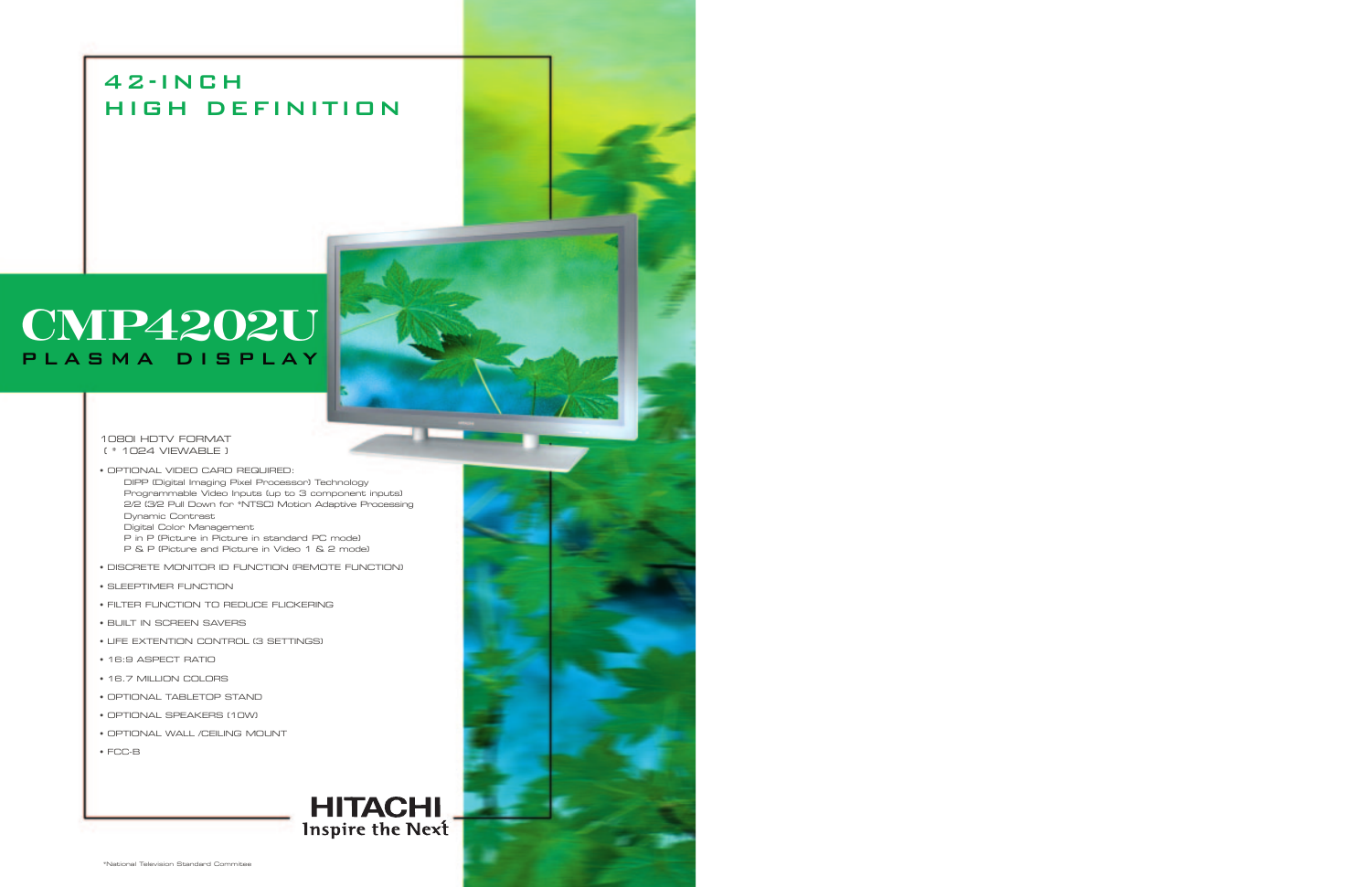## 42-INCH HIGH DEFINITION

## **CMP4202U** PLASMA DISPLAY

1080I HDTV FORMAT ( \* 1024 VIEWABLE )

• OPTIONAL VIDEO CARD REQUIRED: DIPP (Digital Imaging Pixel Processor) Technology Programmable Video Inputs (up to 3 component inputs) 2/2 (3/2 Pull Down for \*NTSC) Motion Adaptive Processing Dynamic Contrast Digital Color Management P in P (Picture in Picture in standard PC mode) P & P (Picture and Picture in Video 1 & 2 mode)

- DISCRETE MONITOR ID FUNCTION (REMOTE FUNCTION)
- SLEEPTIMER FUNCTION
- FILTER FUNCTION TO REDUCE FLICKERING
- BUILT IN SCREEN SAVERS
- LIFE EXTENTION CONTROL (3 SETTINGS)
- 16:9 ASPECT RATIO
- 16.7 MILLION COLORS
- OPTIONAL TABLETOP STAND
- OPTIONAL SPEAKERS (10W)
- OPTIONAL WALL /CEILING MOUNT
- FCC-B

# **HITACHI**<br>Inspire the Next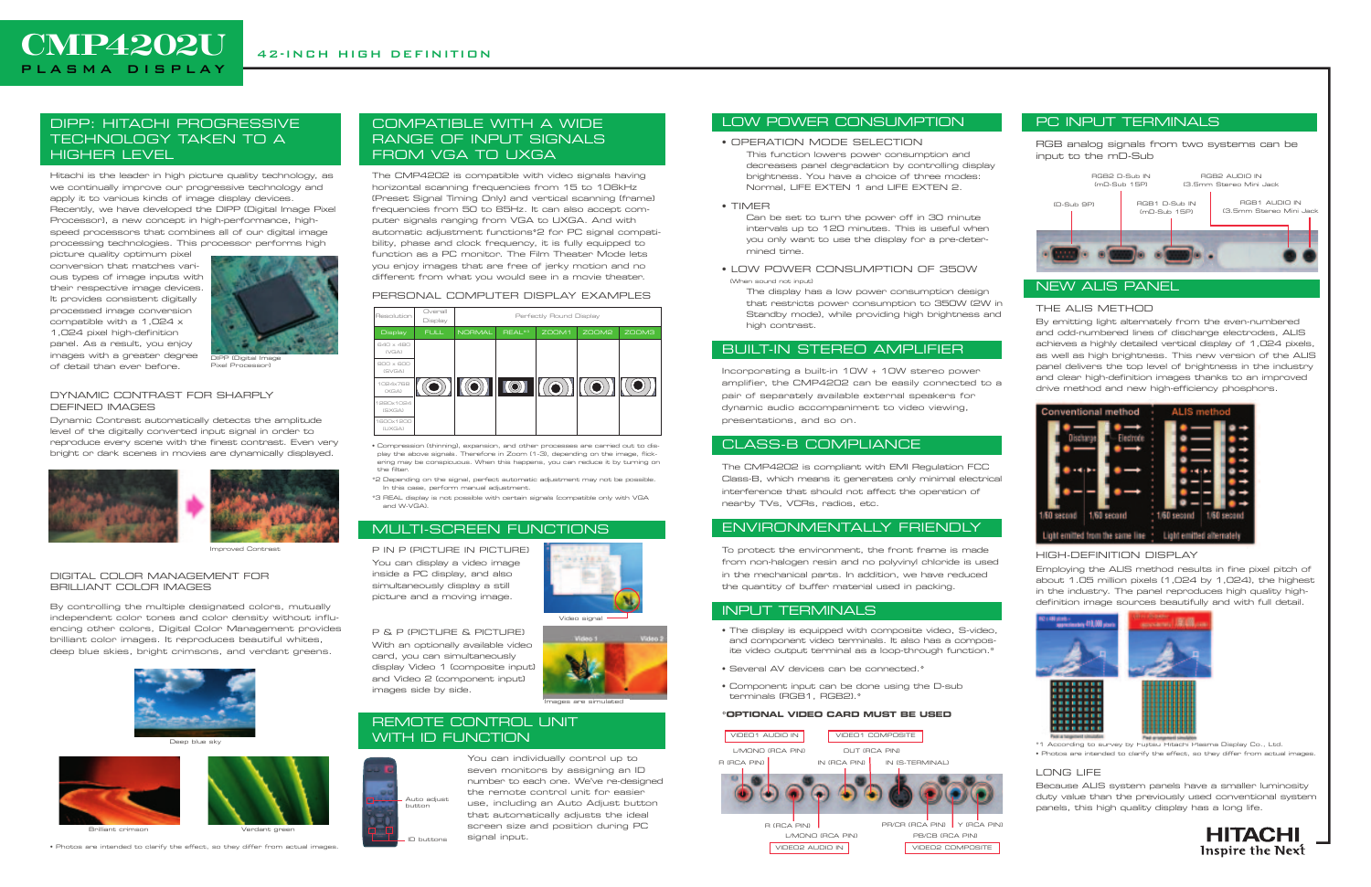#### DIPP: HITACHI PROGRESSIVE TECHNOLOGY TAKEN TO A HIGHER LEVEL

Hitachi is the leader in high picture quality technology, as we continually improve our progressive technology and apply it to various kinds of image display devices. Recently, we have developed the DIPP (Digital Image Pixel Processor), a new concept in high-performance, highspeed processors that combines all of our digital image processing technologies. This processor performs high

picture quality optimum pixel conversion that matches various types of image inputs with their respective image devices. It provides consistent digitally processed image conversion compatible with a 1,024 x 1,024 pixel high-definition panel. As a result, you enjoy images with a greater degree of detail than ever before.

#### DYNAMIC CONTRAST FOR SHARPLY DEFINED IMAGES

Dynamic Contrast automatically detects the amplitude level of the digitally converted input signal in order to reproduce every scene with the finest contrast. Even very bright or dark scenes in movies are dynamically displayed.





#### DIGITAL COLOR MANAGEMENT FOR BRILLIANT COLOR IMAGES

By controlling the multiple designated colors, mutually independent color tones and color density without influencing other colors, Digital Color Management provides brilliant color images. It reproduces beautiful whites, deep blue skies, bright crimsons, and verdant greens.

• Photos are intended to clarify the effect, so they differ from actual images.

#### COMPATIBLE WITH A WIDE RANGE OF INPUT SIGNALS FROM VGA TO UXGA

The CMP4202 is compatible with video signals having horizontal scanning frequencies from 15 to 106kHz (Preset Signal Timing Only) and vertical scanning (frame) frequencies from 50 to 85Hz. It can also accept computer signals ranging from VGA to UXGA. And with automatic adjustment functions\*2 for PC signal compatibility, phase and clock frequency, it is fully equipped to function as a PC monitor. The Film Theater Mode lets you enjoy images that are free of jerky motion and no different from what you would see in a movie theater.

#### PERSONAL COMPUTER DISPLAY EXAMPLES

• Compression (thinning), expansion, and other processes are carried out to display the above signals. Therefore in Zoom (1-3), depending on the image, flickering may be conspicuous. When this happens, you can reduce it by turning on the filter.

\*2 Depending on the signal, perfect automatic adjustment may not be possible. In this case, perform manual adjustment.

\*3 REAL display is not possible with certain signals (compatible only with VGA and W-VGA).

#### MULTI-SCREEN FUNCTIONS

P IN P (PICTURE IN PICTURE) You can display a video image inside a PC display, and also simultaneously display a still picture and a moving image.

#### P & P (PICTURE & PICTURE)

With an optionally available video card, you can simultaneously display Video 1 (composite input) and Video 2 (component input) images side by side.

#### REMOTE CONTROL UNIT WITH ID FUNCTION

You can individually control up to seven monitors by assigning an ID number to each one. We've re-designed the remote control unit for easier use, including an Auto Adjust button that automatically adjusts the ideal screen size and position during PC signal input.

**CMP4202U** PLASMA DISPLAY

#### LOW POWER CONSUMPTION

#### • OPERATION MODE SELECTION

This function lowers power consumption and decreases panel degradation by controlling display brightness. You have a choice of three modes: Normal, LIFE EXTEN 1 and LIFE EXTEN 2.

#### • TIMER

Can be set to turn the power off in 30 minute intervals up to 120 minutes. This is useful when you only want to use the display for a pre-determined time.

• LOW POWER CONSUMPTION OF 350W (When sound not input)

The display has a low power consumption design that restricts power consumption to 350W (2W in Standby mode), while providing high brightness and high contrast.

#### BUILT-IN STEREO AMPLIFIER

Incorporating a built-in 10W + 10W stereo power amplifier, the CMP4202 can be easily connected to a pair of separately available external speakers for dynamic audio accompaniment to video viewing, presentations, and so on.

#### CLASS-B COMPLIANCE

The CMP4202 is compliant with EMI Regulation FCC Class-B, which means it generates only minimal electrical interference that should not affect the operation of nearby TVs, VCRs, radios, etc.

#### ENVIRONMENTALLY FRIENDLY

To protect the environment, the front frame is made from non-halogen resin and no polyvinyl chloride is used in the mechanical parts. In addition, we have reduced the quantity of buffer material used in packing.

#### INPUT TERMINALS

- The display is equipped with composite video, S-video, and component video terminals. It also has a composite video output terminal as a loop-through function.\*
- Several AV devices can be connected.\*
- Component input can be done using the D-sub terminals (RGB1, RGB2).\*

#### **\*OPTIONAL VIDEO CARD MUST BE USED**

#### PC INPUT TERMINALS

RGB analog signals from two systems can be input to the mD-Sub

#### NEW ALIS PANEL

#### THE ALIS METHOD

By emitting light alternately from the even-numbered and odd-numbered lines of discharge electrodes, ALIS achieves a highly detailed vertical display of 1,024 pixels, as well as high brightness. This new version of the ALIS panel delivers the top level of brightness in the industry and clear high-definition images thanks to an improved drive method and new high-efficiency phosphors.



#### HIGH-DEFINITION DISPLAY

Employing the ALIS method results in fine pixel pitch of about 1.05 million pixels (1,024 by 1,024), the highest in the industry. The panel reproduces high quality highdefinition image sources beautifully and with full detail.



\*1 According to survey by Fujitsu Hitachi Plasma Display Co., Ltd.

### • Photos are intended to clarify the effect, so they differ from actual images.

#### LONG LIFE

Because ALIS system panels have a smaller luminosity





DIPP (Digital Image Pixel Processor)

Improved Contrast



Deep blue sky